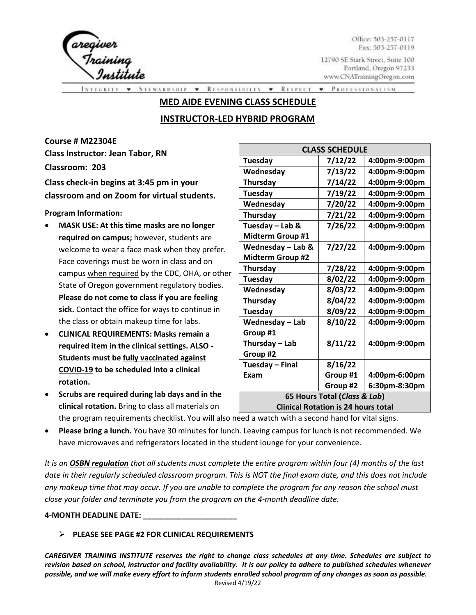

Office: 503-257-0117 Fax: 503-257-0119

12790 SE Stark Street, Suite 100 Portland, Oregon 97233 www.CNATrainingOregon.com

**RESPONSIBILTY** \* RESPECT PROFESSIONALISM. **STEWARDSHIP**  $\mathbf{v}$  $\blacktriangledown$ 

### **MED AIDE EVENING CLASS SCHEDULE**

# **INSTRUCTOR-LED HYBRID PROGRAM**

**Course # M22304E Class Instructor: Jean Tabor, RN**

**Classroom: 203**

**Class check-in begins at 3:45 pm in your classroom and on Zoom for virtual students.** 

**Program Information:**

- **MASK USE: At this time masks are no longer required on campus;** however, students are welcome to wear a face mask when they prefer. Face coverings must be worn in class and on campus when required by the CDC, OHA, or other State of Oregon government regulatory bodies. **Please do not come to class if you are feeling sick.** Contact the office for ways to continue in the class or obtain makeup time for labs.
- **CLINICAL REQUIREMENTS: Masks remain a required item in the clinical settings. ALSO - Students must be fully vaccinated against COVID-19 to be scheduled into a clinical rotation.**
- **Scrubs are required during lab days and in the clinical rotation.** Bring to class all materials on

| <b>CLASS SCHEDULE</b>                      |          |               |  |
|--------------------------------------------|----------|---------------|--|
| Tuesday                                    | 7/12/22  | 4:00pm-9:00pm |  |
| Wednesday                                  | 7/13/22  | 4:00pm-9:00pm |  |
| Thursday                                   | 7/14/22  | 4:00pm-9:00pm |  |
| Tuesday                                    | 7/19/22  | 4:00pm-9:00pm |  |
| Wednesday                                  | 7/20/22  | 4:00pm-9:00pm |  |
| Thursday                                   | 7/21/22  | 4:00pm-9:00pm |  |
| Tuesday - Lab &                            | 7/26/22  | 4:00pm-9:00pm |  |
| <b>Midterm Group #1</b>                    |          |               |  |
| Wednesday - Lab &                          | 7/27/22  | 4:00pm-9:00pm |  |
| <b>Midterm Group #2</b>                    |          |               |  |
| Thursday                                   | 7/28/22  | 4:00pm-9:00pm |  |
| Tuesday                                    | 8/02/22  | 4:00pm-9:00pm |  |
| Wednesday                                  | 8/03/22  | 4:00pm-9:00pm |  |
| Thursday                                   | 8/04/22  | 4:00pm-9:00pm |  |
| Tuesday                                    | 8/09/22  | 4:00pm-9:00pm |  |
| Wednesday - Lab                            | 8/10/22  | 4:00pm-9:00pm |  |
| Group #1                                   |          |               |  |
| Thursday - Lab                             | 8/11/22  | 4:00pm-9:00pm |  |
| Group #2                                   |          |               |  |
| Tuesday - Final                            | 8/16/22  |               |  |
| Exam                                       | Group #1 | 4:00pm-6:00pm |  |
|                                            | Group #2 | 6:30pm-8:30pm |  |
| 65 Hours Total (Class & Lab)               |          |               |  |
| <b>Clinical Rotation is 24 hours total</b> |          |               |  |

the program requirements checklist. You will also need a watch with a second hand for vital signs.

• **Please bring a lunch.** You have 30 minutes for lunch. Leaving campus for lunch is not recommended. We have microwaves and refrigerators located in the student lounge for your convenience.

*It is an OSBN regulation that all students must complete the entire program within four (4) months of the last date in their regularly scheduled classroom program. This is NOT the final exam date, and this does not include any makeup time that may occur. If you are unable to complete the program for any reason the school must close your folder and terminate you from the program on the 4-month deadline date.* 

**4-MONTH DEADLINE DATE: \_\_\_\_\_\_\_\_\_\_\_\_\_\_\_\_\_\_\_\_\_\_**

## ➢ **PLEASE SEE PAGE #2 FOR CLINICAL REQUIREMENTS**

*CAREGIVER TRAINING INSTITUTE reserves the right to change class schedules at any time. Schedules are subject to revision based on school, instructor and facility availability. It is our policy to adhere to published schedules whenever possible, and we will make every effort to inform students enrolled school program of any changes as soon as possible.* Revised 4/19/22